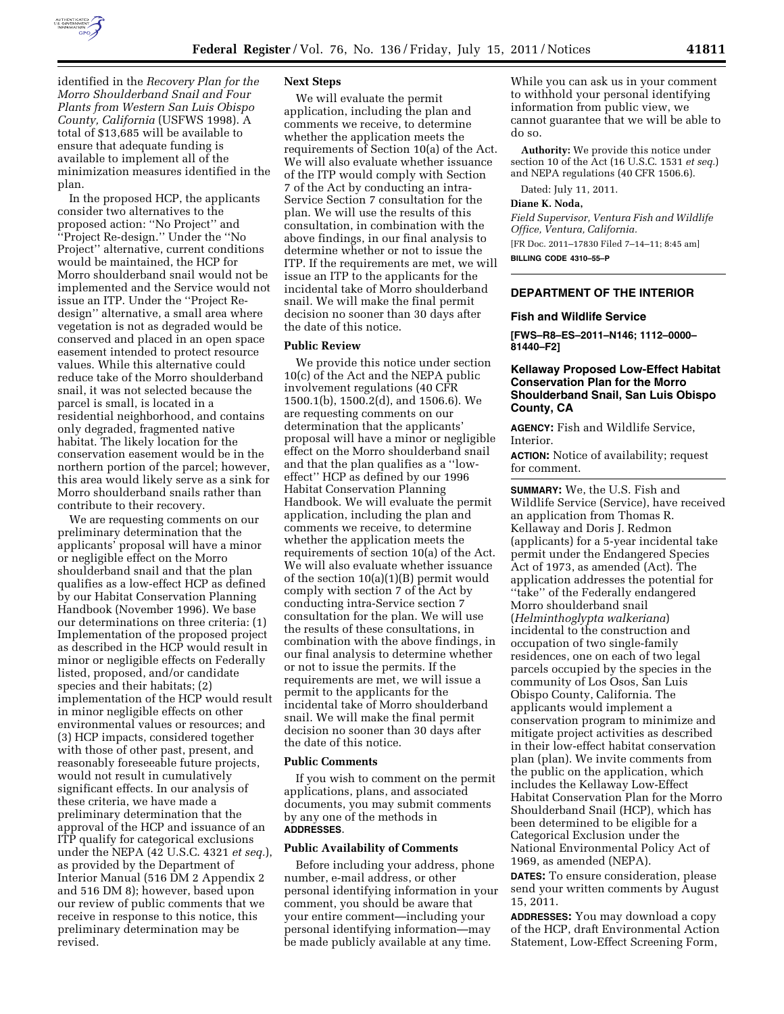

available to implement all of the minimization measures identified in the plan.

In the proposed HCP, the applicants consider two alternatives to the proposed action: ''No Project'' and ''Project Re-design.'' Under the ''No Project'' alternative, current conditions would be maintained, the HCP for Morro shoulderband snail would not be implemented and the Service would not issue an ITP. Under the ''Project Redesign'' alternative, a small area where vegetation is not as degraded would be conserved and placed in an open space easement intended to protect resource values. While this alternative could reduce take of the Morro shoulderband snail, it was not selected because the parcel is small, is located in a residential neighborhood, and contains only degraded, fragmented native habitat. The likely location for the conservation easement would be in the northern portion of the parcel; however, this area would likely serve as a sink for Morro shoulderband snails rather than contribute to their recovery.

We are requesting comments on our preliminary determination that the applicants' proposal will have a minor or negligible effect on the Morro shoulderband snail and that the plan qualifies as a low-effect HCP as defined by our Habitat Conservation Planning Handbook (November 1996). We base our determinations on three criteria: (1) Implementation of the proposed project as described in the HCP would result in minor or negligible effects on Federally listed, proposed, and/or candidate species and their habitats; (2) implementation of the HCP would result in minor negligible effects on other environmental values or resources; and (3) HCP impacts, considered together with those of other past, present, and reasonably foreseeable future projects, would not result in cumulatively significant effects. In our analysis of these criteria, we have made a preliminary determination that the approval of the HCP and issuance of an ITP qualify for categorical exclusions under the NEPA (42 U.S.C. 4321 *et seq.*), as provided by the Department of Interior Manual (516 DM 2 Appendix 2 and 516 DM 8); however, based upon our review of public comments that we receive in response to this notice, this preliminary determination may be revised.

# **Next Steps**

We will evaluate the permit application, including the plan and comments we receive, to determine whether the application meets the requirements of Section 10(a) of the Act. We will also evaluate whether issuance of the ITP would comply with Section 7 of the Act by conducting an intra-Service Section 7 consultation for the plan. We will use the results of this consultation, in combination with the above findings, in our final analysis to determine whether or not to issue the ITP. If the requirements are met, we will issue an ITP to the applicants for the incidental take of Morro shoulderband snail. We will make the final permit decision no sooner than 30 days after the date of this notice.

#### **Public Review**

We provide this notice under section 10(c) of the Act and the NEPA public involvement regulations (40 CFR 1500.1(b), 1500.2(d), and 1506.6). We are requesting comments on our determination that the applicants' proposal will have a minor or negligible effect on the Morro shoulderband snail and that the plan qualifies as a ''loweffect'' HCP as defined by our 1996 Habitat Conservation Planning Handbook. We will evaluate the permit application, including the plan and comments we receive, to determine whether the application meets the requirements of section 10(a) of the Act. We will also evaluate whether issuance of the section 10(a)(1)(B) permit would comply with section 7 of the Act by conducting intra-Service section 7 consultation for the plan. We will use the results of these consultations, in combination with the above findings, in our final analysis to determine whether or not to issue the permits. If the requirements are met, we will issue a permit to the applicants for the incidental take of Morro shoulderband snail. We will make the final permit decision no sooner than 30 days after the date of this notice.

#### **Public Comments**

If you wish to comment on the permit applications, plans, and associated documents, you may submit comments by any one of the methods in **ADDRESSES**.

## **Public Availability of Comments**

Before including your address, phone number, e-mail address, or other personal identifying information in your comment, you should be aware that your entire comment—including your personal identifying information—may be made publicly available at any time.

While you can ask us in your comment to withhold your personal identifying information from public view, we cannot guarantee that we will be able to do so.

**Authority:** We provide this notice under section 10 of the Act (16 U.S.C. 1531 *et seq.*) and NEPA regulations (40 CFR 1506.6).

Dated: July 11, 2011.

#### **Diane K. Noda,**

*Field Supervisor, Ventura Fish and Wildlife Office, Ventura, California.*  [FR Doc. 2011–17830 Filed 7–14–11; 8:45 am] **BILLING CODE 4310–55–P** 

### **DEPARTMENT OF THE INTERIOR**

### **Fish and Wildlife Service**

**[FWS–R8–ES–2011–N146; 1112–0000– 81440–F2]** 

# **Kellaway Proposed Low-Effect Habitat Conservation Plan for the Morro Shoulderband Snail, San Luis Obispo County, CA**

**AGENCY:** Fish and Wildlife Service, Interior.

**ACTION:** Notice of availability; request for comment.

**SUMMARY:** We, the U.S. Fish and Wildlife Service (Service), have received an application from Thomas R. Kellaway and Doris J. Redmon (applicants) for a 5-year incidental take permit under the Endangered Species Act of 1973, as amended (Act). The application addresses the potential for "take" of the Federally endangered Morro shoulderband snail (*Helminthoglypta walkeriana*) incidental to the construction and occupation of two single-family residences, one on each of two legal parcels occupied by the species in the community of Los Osos, San Luis Obispo County, California. The applicants would implement a conservation program to minimize and mitigate project activities as described in their low-effect habitat conservation plan (plan). We invite comments from the public on the application, which includes the Kellaway Low-Effect Habitat Conservation Plan for the Morro Shoulderband Snail (HCP), which has been determined to be eligible for a Categorical Exclusion under the National Environmental Policy Act of 1969, as amended (NEPA).

**DATES:** To ensure consideration, please send your written comments by August 15, 2011.

**ADDRESSES:** You may download a copy of the HCP, draft Environmental Action Statement, Low-Effect Screening Form,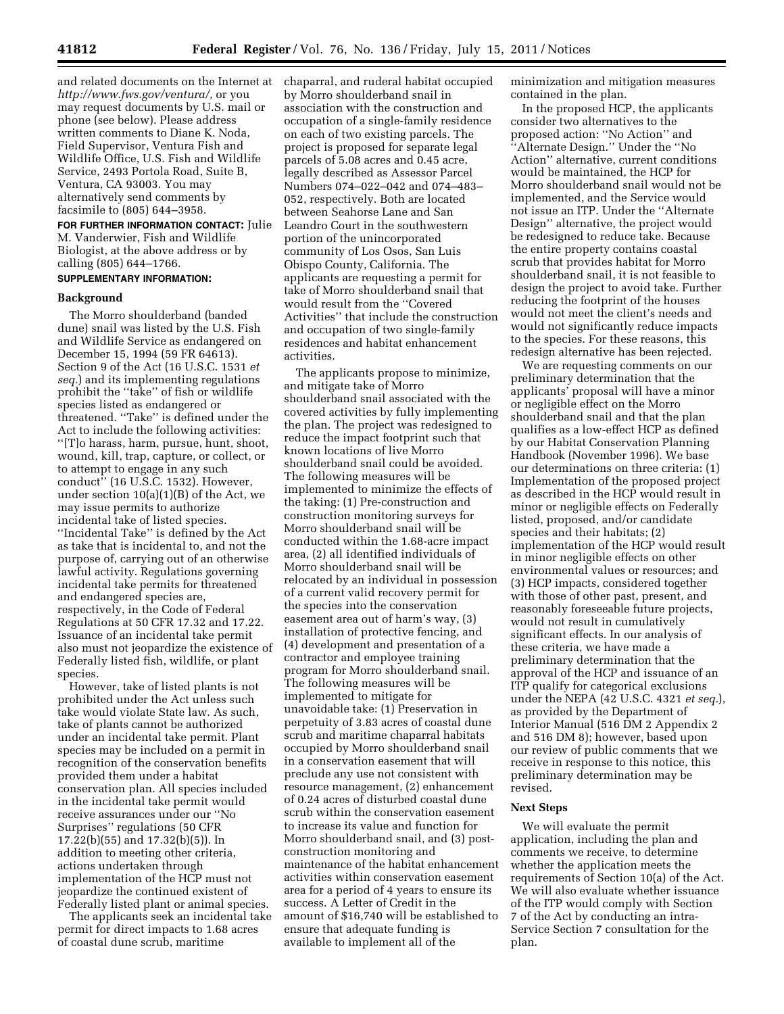and related documents on the Internet at *[http://www.fws.gov/ventura/,](http://www.fws.gov/ventura/)* or you may request documents by U.S. mail or phone (see below). Please address written comments to Diane K. Noda, Field Supervisor, Ventura Fish and Wildlife Office, U.S. Fish and Wildlife Service, 2493 Portola Road, Suite B, Ventura, CA 93003. You may alternatively send comments by facsimile to (805) 644–3958.

**FOR FURTHER INFORMATION CONTACT:** Julie M. Vanderwier, Fish and Wildlife Biologist, at the above address or by calling (805) 644–1766.

# **SUPPLEMENTARY INFORMATION:**

### **Background**

The Morro shoulderband (banded dune) snail was listed by the U.S. Fish and Wildlife Service as endangered on December 15, 1994 (59 FR 64613). Section 9 of the Act (16 U.S.C. 1531 *et seq.*) and its implementing regulations prohibit the ''take'' of fish or wildlife species listed as endangered or threatened. ''Take'' is defined under the Act to include the following activities: ''[T]o harass, harm, pursue, hunt, shoot, wound, kill, trap, capture, or collect, or to attempt to engage in any such conduct'' (16 U.S.C. 1532). However, under section 10(a)(1)(B) of the Act, we may issue permits to authorize incidental take of listed species. ''Incidental Take'' is defined by the Act as take that is incidental to, and not the purpose of, carrying out of an otherwise lawful activity. Regulations governing incidental take permits for threatened and endangered species are, respectively, in the Code of Federal Regulations at 50 CFR 17.32 and 17.22. Issuance of an incidental take permit also must not jeopardize the existence of Federally listed fish, wildlife, or plant species.

However, take of listed plants is not prohibited under the Act unless such take would violate State law. As such, take of plants cannot be authorized under an incidental take permit. Plant species may be included on a permit in recognition of the conservation benefits provided them under a habitat conservation plan. All species included in the incidental take permit would receive assurances under our ''No Surprises'' regulations (50 CFR 17.22(b)(55) and 17.32(b)(5)). In addition to meeting other criteria, actions undertaken through implementation of the HCP must not jeopardize the continued existent of Federally listed plant or animal species.

The applicants seek an incidental take permit for direct impacts to 1.68 acres of coastal dune scrub, maritime

chaparral, and ruderal habitat occupied by Morro shoulderband snail in association with the construction and occupation of a single-family residence on each of two existing parcels. The project is proposed for separate legal parcels of 5.08 acres and 0.45 acre, legally described as Assessor Parcel Numbers 074–022–042 and 074–483– 052, respectively. Both are located between Seahorse Lane and San Leandro Court in the southwestern portion of the unincorporated community of Los Osos, San Luis Obispo County, California. The applicants are requesting a permit for take of Morro shoulderband snail that would result from the ''Covered Activities'' that include the construction and occupation of two single-family residences and habitat enhancement activities.

The applicants propose to minimize, and mitigate take of Morro shoulderband snail associated with the covered activities by fully implementing the plan. The project was redesigned to reduce the impact footprint such that known locations of live Morro shoulderband snail could be avoided. The following measures will be implemented to minimize the effects of the taking: (1) Pre-construction and construction monitoring surveys for Morro shoulderband snail will be conducted within the 1.68-acre impact area, (2) all identified individuals of Morro shoulderband snail will be relocated by an individual in possession of a current valid recovery permit for the species into the conservation easement area out of harm's way, (3) installation of protective fencing, and (4) development and presentation of a contractor and employee training program for Morro shoulderband snail. The following measures will be implemented to mitigate for unavoidable take: (1) Preservation in perpetuity of 3.83 acres of coastal dune scrub and maritime chaparral habitats occupied by Morro shoulderband snail in a conservation easement that will preclude any use not consistent with resource management, (2) enhancement of 0.24 acres of disturbed coastal dune scrub within the conservation easement to increase its value and function for Morro shoulderband snail, and (3) postconstruction monitoring and maintenance of the habitat enhancement activities within conservation easement area for a period of 4 years to ensure its success. A Letter of Credit in the amount of \$16,740 will be established to ensure that adequate funding is available to implement all of the

minimization and mitigation measures contained in the plan.

In the proposed HCP, the applicants consider two alternatives to the proposed action: ''No Action'' and ''Alternate Design.'' Under the ''No Action'' alternative, current conditions would be maintained, the HCP for Morro shoulderband snail would not be implemented, and the Service would not issue an ITP. Under the ''Alternate Design'' alternative, the project would be redesigned to reduce take. Because the entire property contains coastal scrub that provides habitat for Morro shoulderband snail, it is not feasible to design the project to avoid take. Further reducing the footprint of the houses would not meet the client's needs and would not significantly reduce impacts to the species. For these reasons, this redesign alternative has been rejected.

We are requesting comments on our preliminary determination that the applicants' proposal will have a minor or negligible effect on the Morro shoulderband snail and that the plan qualifies as a low-effect HCP as defined by our Habitat Conservation Planning Handbook (November 1996). We base our determinations on three criteria: (1) Implementation of the proposed project as described in the HCP would result in minor or negligible effects on Federally listed, proposed, and/or candidate species and their habitats; (2) implementation of the HCP would result in minor negligible effects on other environmental values or resources; and (3) HCP impacts, considered together with those of other past, present, and reasonably foreseeable future projects, would not result in cumulatively significant effects. In our analysis of these criteria, we have made a preliminary determination that the approval of the HCP and issuance of an ITP qualify for categorical exclusions under the NEPA (42 U.S.C. 4321 *et seq.*), as provided by the Department of Interior Manual (516 DM 2 Appendix 2 and 516 DM 8); however, based upon our review of public comments that we receive in response to this notice, this preliminary determination may be revised.

### **Next Steps**

We will evaluate the permit application, including the plan and comments we receive, to determine whether the application meets the requirements of Section 10(a) of the Act. We will also evaluate whether issuance of the ITP would comply with Section 7 of the Act by conducting an intra-Service Section 7 consultation for the plan.